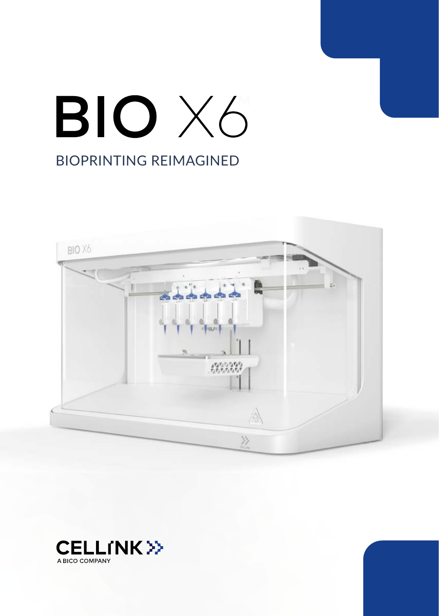# BIO X6 BIOPRINTING REIMAGINED



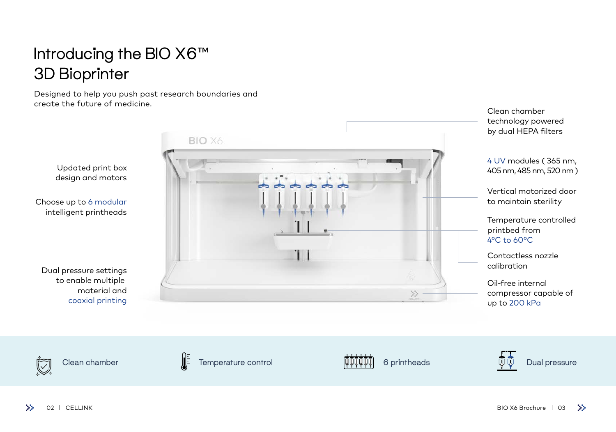4 UV modules ( 365 nm, 405 nm, 485 nm, 520 nm )

Vertical motorized door to maintain sterility

Oil-free internal compressor capable of up to 200 kPa









Clean chamber **Temperature control** ( Temperature control  $\left(\begin{matrix} \frac{1}{\sqrt{1-\frac{1}{2}}}\sqrt{\frac{1}{\sqrt{1-\frac{1}{2}}}} & \frac{1}{\sqrt{1-\frac{1}{2}}}\sqrt{\frac{1}{\sqrt{1-\frac{1}{2}}}} & \frac{1}{\sqrt{1-\frac{1}{2}}}\sqrt{\frac{1}{\sqrt{1-\frac{1}{2}}}} & \frac{1}{\sqrt{1-\frac{1}{2}}}\sqrt{\frac{1}{\sqrt{1-\frac{1}{2}}}} & \frac{1}{\sqrt{1-\frac$ 



Clean chamber technology powered by dual HEPA filters

# Introducing the BIO X6™ 3D Bioprinter

Designed to help you push past research boundaries and create the future of medicine.

> Temperature controlled printbed from 4°C to 60°C

Contactless nozzle calibration



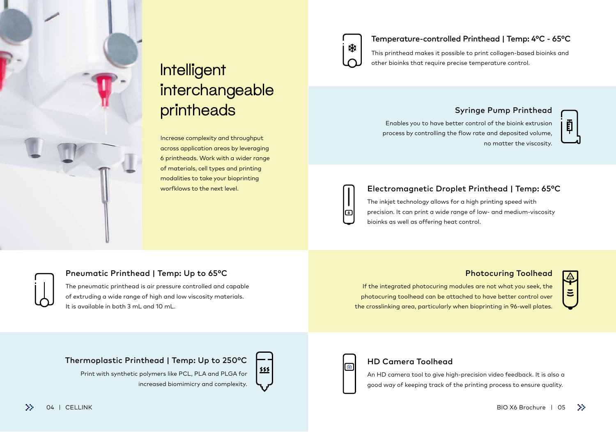Increase complexity and throughput across application areas by leveraging 6 printheads. Work with a wider range of materials, cell types and printing modalities to take your bioprinting worfklows to the next level.



This printhead makes it possible to print collagen-based bioinks and other bioinks that require precise temperature control.

### Temperature-controlled Printhead | Temp: 4°C - 65°C

### Syringe Pump Printhead



Enables you to have better control of the bioink extrusion process by controlling the flow rate and deposited volume, no matter the viscosity.





# **Intelligent** interchangeable printheads

The inkjet technology allows for a high printing speed with precision. It can print a wide range of low- and medium-viscosity bioinks as well as offering heat control.



### Electromagnetic Droplet Printhead | Temp: 65°C

An HD camera tool to give high-precision video feedback. It is also a good way of keeping track of the printing process to ensure quality.

### HD Camera Toolhead

If the integrated photocuring modules are not what you seek, the photocuring toolhead can be attached to have better control over the crosslinking area, particularly when bioprinting in 96-well plates.

### Photocuring Toolhead



The pneumatic printhead is air pressure controlled and capable of extruding a wide range of high and low viscosity materials. It is available in both 3 mL and 10 mL.

#### Pneumatic Printhead | Temp: Up to 65°C

Print with synthetic polymers like PCL, PLA and PLGA for increased biomimicry and complexity.







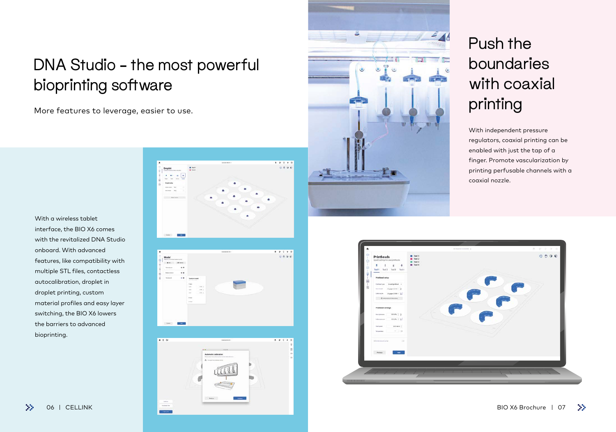## DNA Studio – the most powerful bioprinting software

More features to leverage, easier to use.

With a wireless tablet interface, the BIO X6 comes with the revitalized DNA Studio onboard. With advanced features, like compatibility with multiple STL files, contactless autocalibration, droplet in droplet printing, custom material profiles and easy layer switching, the BIO X6 lowers the barriers to advanced bioprinting.









# Push the boundaries with coaxial printing

With independent pressure regulators, coaxial printing can be enabled with just the tap of a finger. Promote vascularization by printing perfusable channels with a coaxial nozzle.

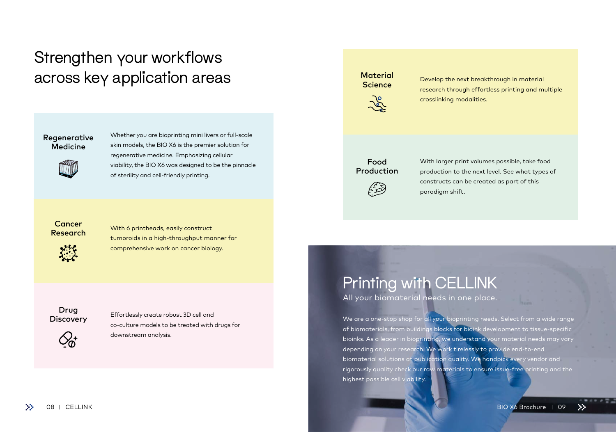## Strengthen your workflows across key application areas

# Printing with CELLINK

All your biomaterial needs in one place.

With larger print volumes possible, take food production to the next level. See what types of constructs can be created as part of this paradigm shift.

#### Food Production



We are a one-stop shop for all your bioprinting needs. Select from a wide range of biomaterials, from buildings blocks for bioink development to tissue-specific bioinks. As a leader in bioprinting, we understand your material needs may vary depending on your research. We work tirelessly to provide end-to-end biomaterial solutions at publication quality. We handpick every vendor and rigorously quality check our raw materials to ensure issue-free printing and the highest possible cell viability.

ord CELLINK BIO X6 Brochure 1 09

 $\gg$ 

Whether you are bioprinting mini livers or full-scale skin models, the BIO X6 is the premier solution for regenerative medicine. Emphasizing cellular viability, the BIO X6 was designed to be the pinnacle of sterility and cell-friendly printing.

#### Regenerative Medicine



Effortlessly create robust 3D cell and co-culture models to be treated with drugs for downstream analysis.

### **Material Science**





With 6 printheads, easily construct tumoroids in a high-throughput manner for comprehensive work on cancer biology.



 $\sum_{i=1}^{n}$ 

Develop the next breakthrough in material research through effortless printing and multiple crosslinking modalities.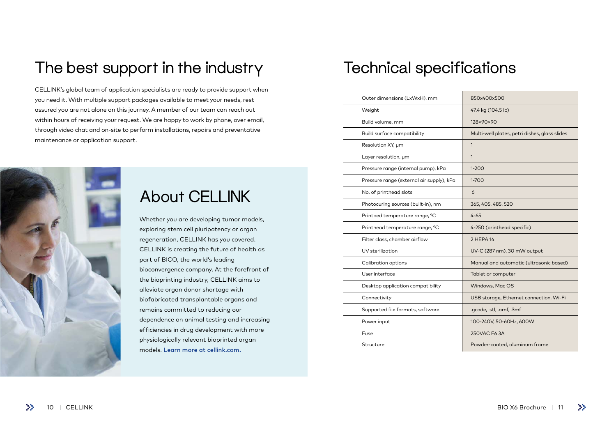## Technical specifications

Outer dimensions (LxWxH), mm Weight Build volume, mm Resolution XY, μm 1 Layer resolution, μm 1 Pressure range (internal pump), kPa Pressure range (external air supply), kP No. of printhead slots 6 Photocuring sources (built-in), nm Printbed temperature range, °C Printhead temperature range, °C Filter class, chamber airflow UV sterilization Calibration options User interface Desktop application compatibility Connectivity Supported file formats, software Power input Fuse 250VAC F6 3A Structure Build surface compatibility

|   | 850x400x500                                   |
|---|-----------------------------------------------|
|   | 47.4 kg (104.5 lb)                            |
|   | 128×90×90                                     |
|   | Multi-well plates, petri dishes, glass slides |
|   | 1                                             |
|   | 1                                             |
|   | $1 - 200$                                     |
| a | 1-700                                         |
|   | 6                                             |
|   | 365, 405, 485, 520                            |
|   | 4-65                                          |
|   | 4-250 (printhead specific)                    |
|   | 2 HEPA 14                                     |
|   | UV-C (287 nm), 30 mW output                   |
|   | Manual and automatic (ultrasonic based)       |
|   | Tablet or computer                            |
|   | Windows, Mac OS                               |
|   | USB storage, Ethernet connection, Wi-Fi       |
|   | .gcode, .stl, .amf, .3mf                      |
|   | 100-240V, 50-60Hz, 600W                       |
|   | 250VAC F63A                                   |
|   | Powder-coated, aluminum frame                 |
|   |                                               |

### The best support in the industry

CELLINK's global team of application specialists are ready to provide support when you need it. With multiple support packages available to meet your needs, rest assured you are not alone on this journey. A member of our team can reach out within hours of receiving your request. We are happy to work by phone, over email, through video chat and on-site to perform installations, repairs and preventative maintenance or application support.



Whether you are developing tumor models, exploring stem cell pluripotency or organ regeneration, CELLINK has you covered. CELLINK is creating the future of health as part of BICO, the world's leading bioconvergence company. At the forefront of the bioprinting industry, CELLINK aims to alleviate organ donor shortage with biofabricated transplantable organs and remains committed to reducing our dependence on animal testing and increasing efficiencies in drug development with more physiologically relevant bioprinted organ models. Learn more at cellink.com.

### About CELLINK